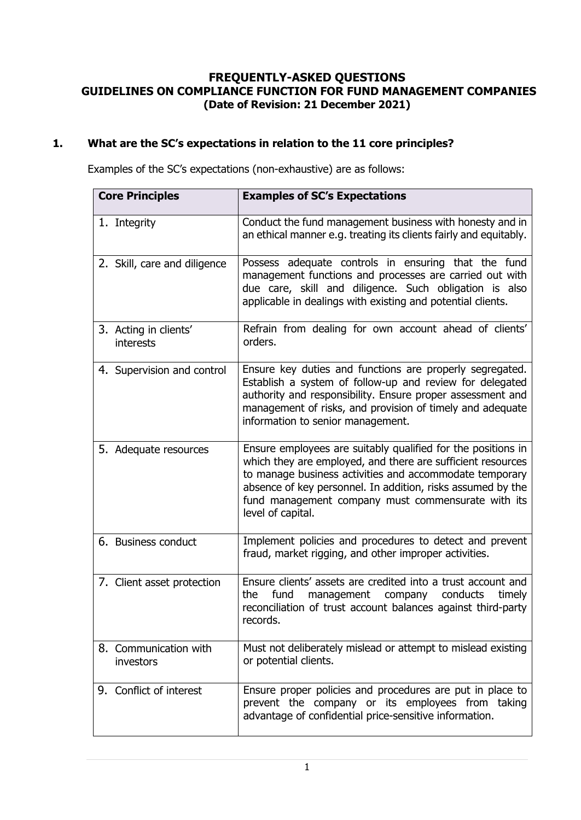### **FREQUENTLY-ASKED QUESTIONS GUIDELINES ON COMPLIANCE FUNCTION FOR FUND MANAGEMENT COMPANIES (Date of Revision: 21 December 2021)**

## **1. What are the SC's expectations in relation to the 11 core principles?**

Examples of the SC's expectations (non-exhaustive) are as follows:

| <b>Core Principles</b>             | <b>Examples of SC's Expectations</b>                                                                                                                                                                                                                                                                                             |
|------------------------------------|----------------------------------------------------------------------------------------------------------------------------------------------------------------------------------------------------------------------------------------------------------------------------------------------------------------------------------|
| 1. Integrity                       | Conduct the fund management business with honesty and in<br>an ethical manner e.g. treating its clients fairly and equitably.                                                                                                                                                                                                    |
| 2. Skill, care and diligence       | Possess adequate controls in ensuring that the fund<br>management functions and processes are carried out with<br>due care, skill and diligence. Such obligation is also<br>applicable in dealings with existing and potential clients.                                                                                          |
| 3. Acting in clients'<br>interests | Refrain from dealing for own account ahead of clients'<br>orders.                                                                                                                                                                                                                                                                |
| 4. Supervision and control         | Ensure key duties and functions are properly segregated.<br>Establish a system of follow-up and review for delegated<br>authority and responsibility. Ensure proper assessment and<br>management of risks, and provision of timely and adequate<br>information to senior management.                                             |
| 5. Adequate resources              | Ensure employees are suitably qualified for the positions in<br>which they are employed, and there are sufficient resources<br>to manage business activities and accommodate temporary<br>absence of key personnel. In addition, risks assumed by the<br>fund management company must commensurate with its<br>level of capital. |
| 6. Business conduct                | Implement policies and procedures to detect and prevent<br>fraud, market rigging, and other improper activities.                                                                                                                                                                                                                 |
| 7. Client asset protection         | Ensure clients' assets are credited into a trust account and<br>fund<br>conducts<br>the<br>management<br>company<br>timely<br>reconciliation of trust account balances against third-party<br>records.                                                                                                                           |
| 8. Communication with<br>investors | Must not deliberately mislead or attempt to mislead existing<br>or potential clients.                                                                                                                                                                                                                                            |
| 9. Conflict of interest            | Ensure proper policies and procedures are put in place to<br>prevent the company or its employees from taking<br>advantage of confidential price-sensitive information.                                                                                                                                                          |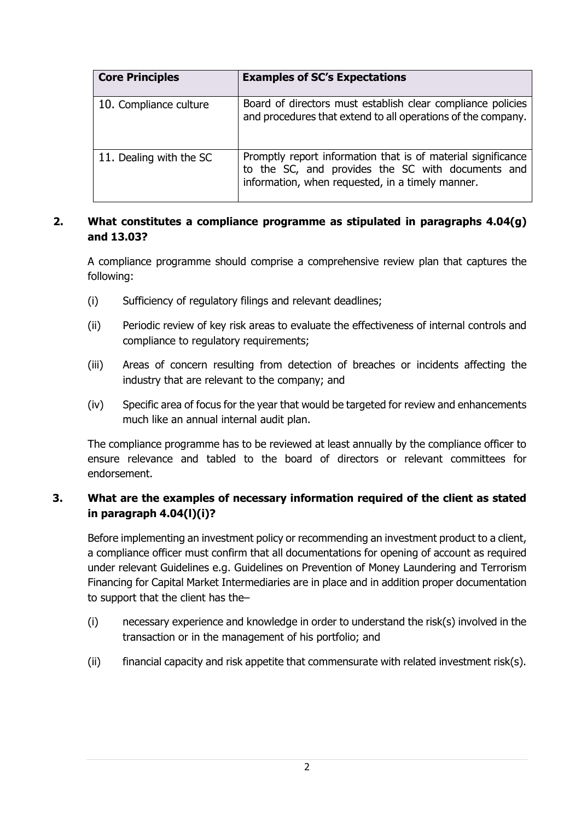| <b>Core Principles</b>  | <b>Examples of SC's Expectations</b>                                                                                                                                  |
|-------------------------|-----------------------------------------------------------------------------------------------------------------------------------------------------------------------|
| 10. Compliance culture  | Board of directors must establish clear compliance policies<br>and procedures that extend to all operations of the company.                                           |
| 11. Dealing with the SC | Promptly report information that is of material significance<br>to the SC, and provides the SC with documents and<br>information, when requested, in a timely manner. |

### **2. What constitutes a compliance programme as stipulated in paragraphs 4.04(g) and 13.03?**

A compliance programme should comprise a comprehensive review plan that captures the following:

- (i) Sufficiency of regulatory filings and relevant deadlines;
- (ii) Periodic review of key risk areas to evaluate the effectiveness of internal controls and compliance to regulatory requirements;
- (iii) Areas of concern resulting from detection of breaches or incidents affecting the industry that are relevant to the company; and
- (iv) Specific area of focus for the year that would be targeted for review and enhancements much like an annual internal audit plan.

The compliance programme has to be reviewed at least annually by the compliance officer to ensure relevance and tabled to the board of directors or relevant committees for endorsement.

## **3. What are the examples of necessary information required of the client as stated in paragraph 4.04(l)(i)?**

Before implementing an investment policy or recommending an investment product to a client, a compliance officer must confirm that all documentations for opening of account as required under relevant Guidelines e.g. Guidelines on Prevention of Money Laundering and Terrorism Financing for Capital Market Intermediaries are in place and in addition proper documentation to support that the client has the–

- (i) necessary experience and knowledge in order to understand the risk(s) involved in the transaction or in the management of his portfolio; and
- (ii) financial capacity and risk appetite that commensurate with related investment risk(s).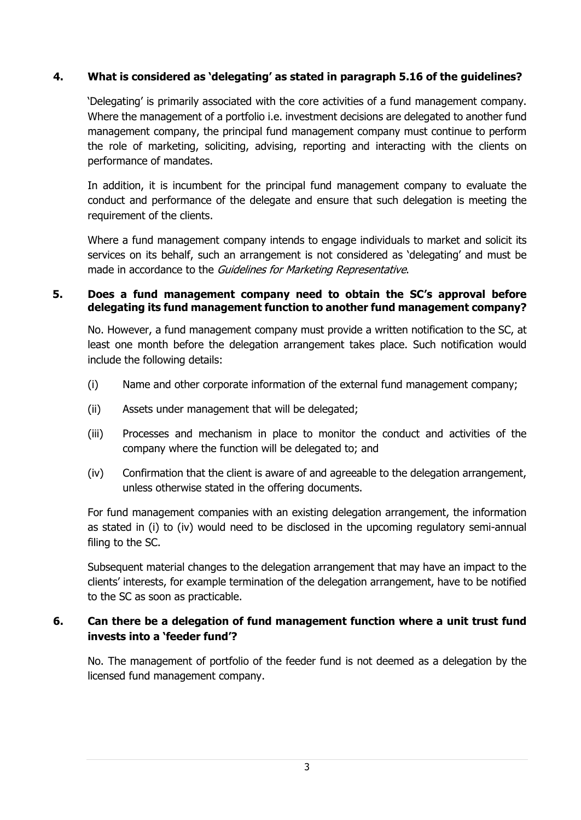### **4. What is considered as 'delegating' as stated in paragraph 5.16 of the guidelines?**

'Delegating' is primarily associated with the core activities of a fund management company. Where the management of a portfolio i.e. investment decisions are delegated to another fund management company, the principal fund management company must continue to perform the role of marketing, soliciting, advising, reporting and interacting with the clients on performance of mandates.

In addition, it is incumbent for the principal fund management company to evaluate the conduct and performance of the delegate and ensure that such delegation is meeting the requirement of the clients.

Where a fund management company intends to engage individuals to market and solicit its services on its behalf, such an arrangement is not considered as 'delegating' and must be made in accordance to the Guidelines for Marketing Representative.

#### **5. Does a fund management company need to obtain the SC's approval before delegating its fund management function to another fund management company?**

No. However, a fund management company must provide a written notification to the SC, at least one month before the delegation arrangement takes place. Such notification would include the following details:

- (i) Name and other corporate information of the external fund management company;
- (ii) Assets under management that will be delegated;
- (iii) Processes and mechanism in place to monitor the conduct and activities of the company where the function will be delegated to; and
- (iv) Confirmation that the client is aware of and agreeable to the delegation arrangement, unless otherwise stated in the offering documents.

For fund management companies with an existing delegation arrangement, the information as stated in (i) to (iv) would need to be disclosed in the upcoming regulatory semi-annual filing to the SC.

Subsequent material changes to the delegation arrangement that may have an impact to the clients' interests, for example termination of the delegation arrangement, have to be notified to the SC as soon as practicable.

## **6. Can there be a delegation of fund management function where a unit trust fund invests into a 'feeder fund'?**

No. The management of portfolio of the feeder fund is not deemed as a delegation by the licensed fund management company.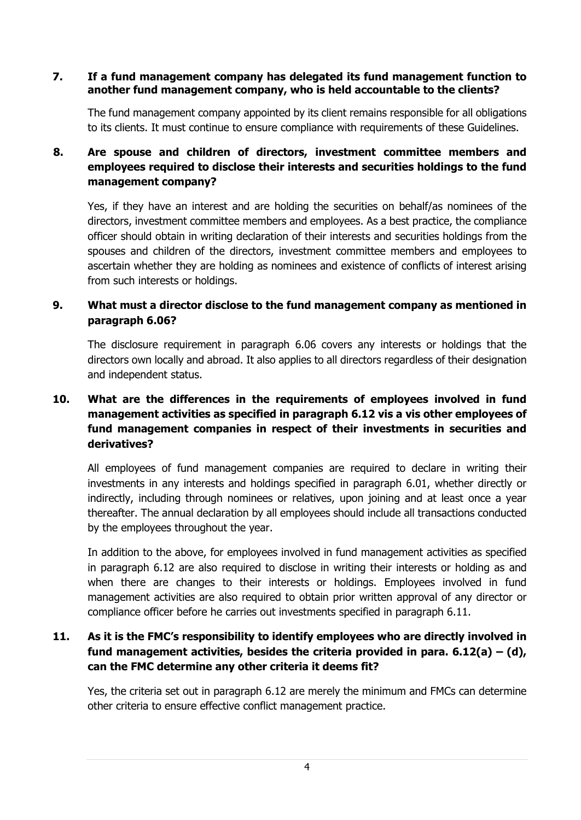#### **7. If a fund management company has delegated its fund management function to another fund management company, who is held accountable to the clients?**

The fund management company appointed by its client remains responsible for all obligations to its clients. It must continue to ensure compliance with requirements of these Guidelines.

# **8. Are spouse and children of directors, investment committee members and employees required to disclose their interests and securities holdings to the fund management company?**

Yes, if they have an interest and are holding the securities on behalf/as nominees of the directors, investment committee members and employees. As a best practice, the compliance officer should obtain in writing declaration of their interests and securities holdings from the spouses and children of the directors, investment committee members and employees to ascertain whether they are holding as nominees and existence of conflicts of interest arising from such interests or holdings.

# **9. What must a director disclose to the fund management company as mentioned in paragraph 6.06?**

The disclosure requirement in paragraph 6.06 covers any interests or holdings that the directors own locally and abroad. It also applies to all directors regardless of their designation and independent status.

## **10. What are the differences in the requirements of employees involved in fund management activities as specified in paragraph 6.12 vis a vis other employees of fund management companies in respect of their investments in securities and derivatives?**

All employees of fund management companies are required to declare in writing their investments in any interests and holdings specified in paragraph 6.01, whether directly or indirectly, including through nominees or relatives, upon joining and at least once a year thereafter. The annual declaration by all employees should include all transactions conducted by the employees throughout the year.

In addition to the above, for employees involved in fund management activities as specified in paragraph 6.12 are also required to disclose in writing their interests or holding as and when there are changes to their interests or holdings. Employees involved in fund management activities are also required to obtain prior written approval of any director or compliance officer before he carries out investments specified in paragraph 6.11.

# **11. As it is the FMC's responsibility to identify employees who are directly involved in fund management activities, besides the criteria provided in para. 6.12(a) – (d), can the FMC determine any other criteria it deems fit?**

Yes, the criteria set out in paragraph 6.12 are merely the minimum and FMCs can determine other criteria to ensure effective conflict management practice.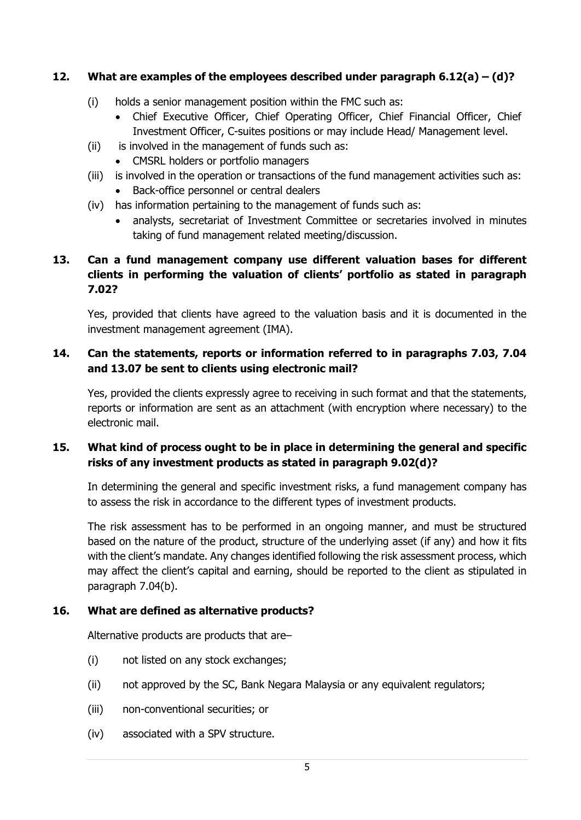# **12. What are examples of the employees described under paragraph 6.12(a) – (d)?**

- (i) holds a senior management position within the FMC such as:
	- Chief Executive Officer, Chief Operating Officer, Chief Financial Officer, Chief Investment Officer, C-suites positions or may include Head/ Management level.
- (ii) is involved in the management of funds such as:
	- CMSRL holders or portfolio managers
- (iii) is involved in the operation or transactions of the fund management activities such as:
	- Back-office personnel or central dealers
- (iv) has information pertaining to the management of funds such as:
	- analysts, secretariat of Investment Committee or secretaries involved in minutes taking of fund management related meeting/discussion.

# **13. Can a fund management company use different valuation bases for different clients in performing the valuation of clients' portfolio as stated in paragraph 7.02?**

Yes, provided that clients have agreed to the valuation basis and it is documented in the investment management agreement (IMA).

# **14. Can the statements, reports or information referred to in paragraphs 7.03, 7.04 and 13.07 be sent to clients using electronic mail?**

Yes, provided the clients expressly agree to receiving in such format and that the statements, reports or information are sent as an attachment (with encryption where necessary) to the electronic mail.

## **15. What kind of process ought to be in place in determining the general and specific risks of any investment products as stated in paragraph 9.02(d)?**

In determining the general and specific investment risks, a fund management company has to assess the risk in accordance to the different types of investment products.

The risk assessment has to be performed in an ongoing manner, and must be structured based on the nature of the product, structure of the underlying asset (if any) and how it fits with the client's mandate. Any changes identified following the risk assessment process, which may affect the client's capital and earning, should be reported to the client as stipulated in paragraph 7.04(b).

## **16. What are defined as alternative products?**

Alternative products are products that are–

- (i) not listed on any stock exchanges;
- (ii) not approved by the SC, Bank Negara Malaysia or any equivalent regulators;
- (iii) non-conventional securities; or
- (iv) associated with a SPV structure.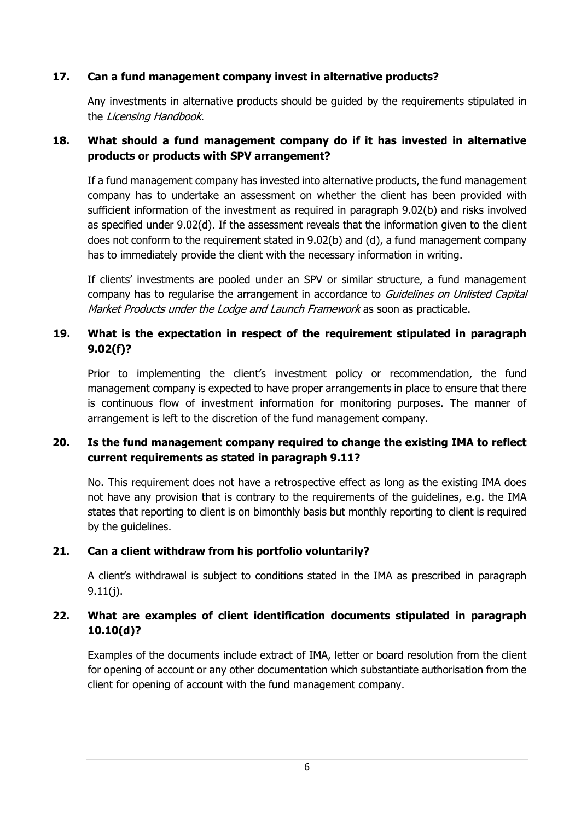## **17. Can a fund management company invest in alternative products?**

Any investments in alternative products should be guided by the requirements stipulated in the Licensing Handbook.

## **18. What should a fund management company do if it has invested in alternative products or products with SPV arrangement?**

If a fund management company has invested into alternative products, the fund management company has to undertake an assessment on whether the client has been provided with sufficient information of the investment as required in paragraph 9.02(b) and risks involved as specified under 9.02(d). If the assessment reveals that the information given to the client does not conform to the requirement stated in 9.02(b) and (d), a fund management company has to immediately provide the client with the necessary information in writing.

If clients' investments are pooled under an SPV or similar structure, a fund management company has to regularise the arrangement in accordance to *Guidelines on Unlisted Capital* Market Products under the Lodge and Launch Framework as soon as practicable.

### **19. What is the expectation in respect of the requirement stipulated in paragraph 9.02(f)?**

Prior to implementing the client's investment policy or recommendation, the fund management company is expected to have proper arrangements in place to ensure that there is continuous flow of investment information for monitoring purposes. The manner of arrangement is left to the discretion of the fund management company.

## **20. Is the fund management company required to change the existing IMA to reflect current requirements as stated in paragraph 9.11?**

No. This requirement does not have a retrospective effect as long as the existing IMA does not have any provision that is contrary to the requirements of the guidelines, e.g. the IMA states that reporting to client is on bimonthly basis but monthly reporting to client is required by the guidelines.

#### **21. Can a client withdraw from his portfolio voluntarily?**

A client's withdrawal is subject to conditions stated in the IMA as prescribed in paragraph 9.11(j).

# **22. What are examples of client identification documents stipulated in paragraph 10.10(d)?**

Examples of the documents include extract of IMA, letter or board resolution from the client for opening of account or any other documentation which substantiate authorisation from the client for opening of account with the fund management company.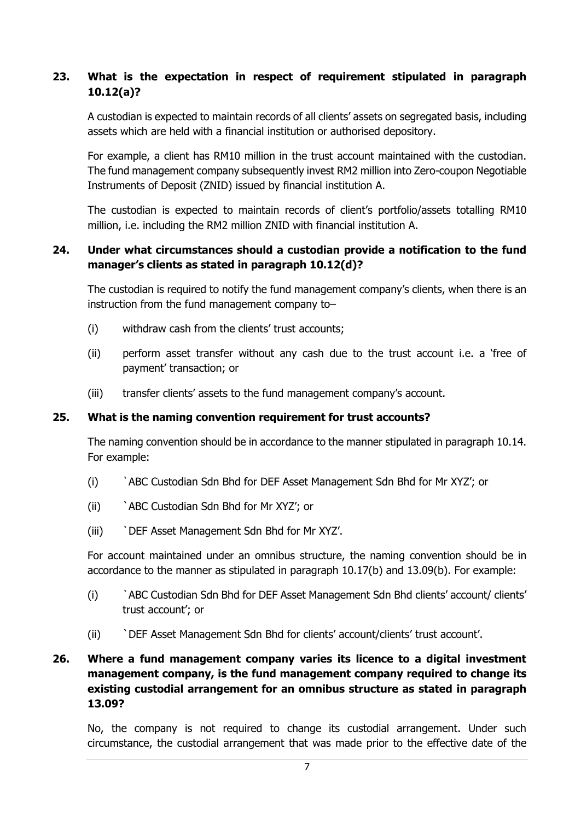# **23. What is the expectation in respect of requirement stipulated in paragraph 10.12(a)?**

A custodian is expected to maintain records of all clients' assets on segregated basis, including assets which are held with a financial institution or authorised depository.

For example, a client has RM10 million in the trust account maintained with the custodian. The fund management company subsequently invest RM2 million into Zero-coupon Negotiable Instruments of Deposit (ZNID) issued by financial institution A.

The custodian is expected to maintain records of client's portfolio/assets totalling RM10 million, i.e. including the RM2 million ZNID with financial institution A.

## **24. Under what circumstances should a custodian provide a notification to the fund manager's clients as stated in paragraph 10.12(d)?**

The custodian is required to notify the fund management company's clients, when there is an instruction from the fund management company to–

- (i) withdraw cash from the clients' trust accounts;
- (ii) perform asset transfer without any cash due to the trust account i.e. a 'free of payment' transaction; or
- (iii) transfer clients' assets to the fund management company's account.

#### **25. What is the naming convention requirement for trust accounts?**

The naming convention should be in accordance to the manner stipulated in paragraph 10.14. For example:

- (i) `ABC Custodian Sdn Bhd for DEF Asset Management Sdn Bhd for Mr XYZ'; or
- (ii) `ABC Custodian Sdn Bhd for Mr XYZ'; or
- (iii) `DEF Asset Management Sdn Bhd for Mr XYZ'.

For account maintained under an omnibus structure, the naming convention should be in accordance to the manner as stipulated in paragraph 10.17(b) and 13.09(b). For example:

- (i) `ABC Custodian Sdn Bhd for DEF Asset Management Sdn Bhd clients' account/ clients' trust account'; or
- (ii) `DEF Asset Management Sdn Bhd for clients' account/clients' trust account'.

## **26. Where a fund management company varies its licence to a digital investment management company, is the fund management company required to change its existing custodial arrangement for an omnibus structure as stated in paragraph 13.09?**

No, the company is not required to change its custodial arrangement. Under such circumstance, the custodial arrangement that was made prior to the effective date of the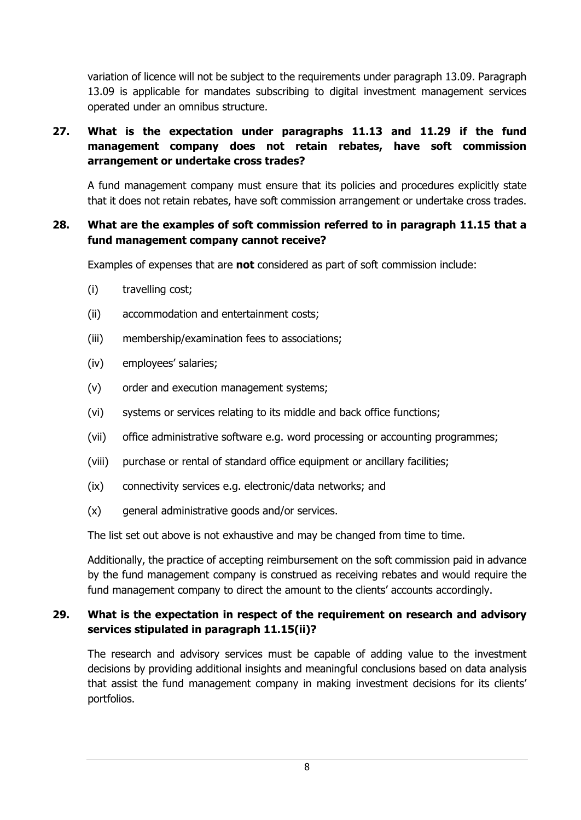variation of licence will not be subject to the requirements under paragraph 13.09. Paragraph 13.09 is applicable for mandates subscribing to digital investment management services operated under an omnibus structure.

# **27. What is the expectation under paragraphs 11.13 and 11.29 if the fund management company does not retain rebates, have soft commission arrangement or undertake cross trades?**

A fund management company must ensure that its policies and procedures explicitly state that it does not retain rebates, have soft commission arrangement or undertake cross trades.

#### **28. What are the examples of soft commission referred to in paragraph 11.15 that a fund management company cannot receive?**

Examples of expenses that are **not** considered as part of soft commission include:

- (i) travelling cost;
- (ii) accommodation and entertainment costs;
- (iii) membership/examination fees to associations;
- (iv) employees' salaries;
- (v) order and execution management systems;
- (vi) systems or services relating to its middle and back office functions;
- (vii) office administrative software e.g. word processing or accounting programmes;
- (viii) purchase or rental of standard office equipment or ancillary facilities;
- (ix) connectivity services e.g. electronic/data networks; and
- (x) general administrative goods and/or services.

The list set out above is not exhaustive and may be changed from time to time.

Additionally, the practice of accepting reimbursement on the soft commission paid in advance by the fund management company is construed as receiving rebates and would require the fund management company to direct the amount to the clients' accounts accordingly.

### **29. What is the expectation in respect of the requirement on research and advisory services stipulated in paragraph 11.15(ii)?**

The research and advisory services must be capable of adding value to the investment decisions by providing additional insights and meaningful conclusions based on data analysis that assist the fund management company in making investment decisions for its clients' portfolios.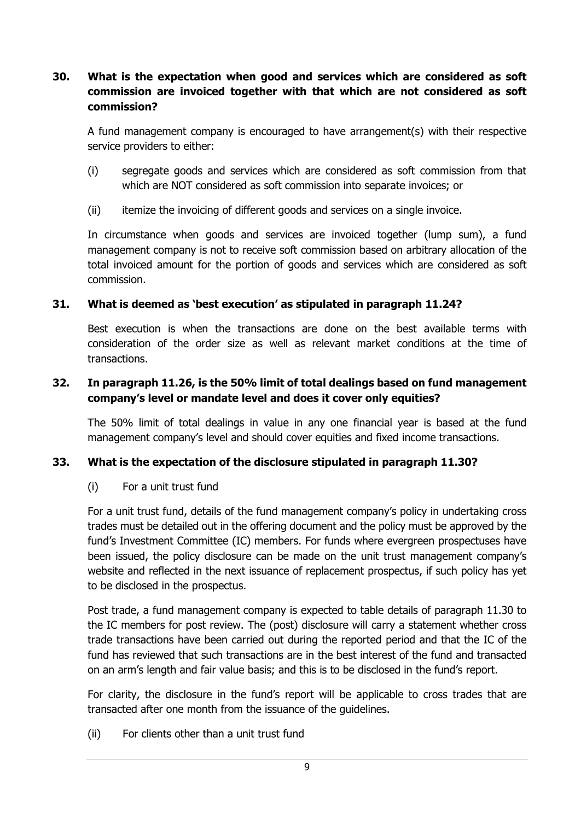# **30. What is the expectation when good and services which are considered as soft commission are invoiced together with that which are not considered as soft commission?**

A fund management company is encouraged to have arrangement(s) with their respective service providers to either:

- (i) segregate goods and services which are considered as soft commission from that which are NOT considered as soft commission into separate invoices; or
- (ii) itemize the invoicing of different goods and services on a single invoice.

In circumstance when goods and services are invoiced together (lump sum), a fund management company is not to receive soft commission based on arbitrary allocation of the total invoiced amount for the portion of goods and services which are considered as soft commission.

### **31. What is deemed as 'best execution' as stipulated in paragraph 11.24?**

Best execution is when the transactions are done on the best available terms with consideration of the order size as well as relevant market conditions at the time of transactions.

### **32. In paragraph 11.26, is the 50% limit of total dealings based on fund management company's level or mandate level and does it cover only equities?**

The 50% limit of total dealings in value in any one financial year is based at the fund management company's level and should cover equities and fixed income transactions.

## **33. What is the expectation of the disclosure stipulated in paragraph 11.30?**

#### (i) For a unit trust fund

For a unit trust fund, details of the fund management company's policy in undertaking cross trades must be detailed out in the offering document and the policy must be approved by the fund's Investment Committee (IC) members. For funds where evergreen prospectuses have been issued, the policy disclosure can be made on the unit trust management company's website and reflected in the next issuance of replacement prospectus, if such policy has yet to be disclosed in the prospectus.

Post trade, a fund management company is expected to table details of paragraph 11.30 to the IC members for post review. The (post) disclosure will carry a statement whether cross trade transactions have been carried out during the reported period and that the IC of the fund has reviewed that such transactions are in the best interest of the fund and transacted on an arm's length and fair value basis; and this is to be disclosed in the fund's report.

For clarity, the disclosure in the fund's report will be applicable to cross trades that are transacted after one month from the issuance of the guidelines.

(ii) For clients other than a unit trust fund